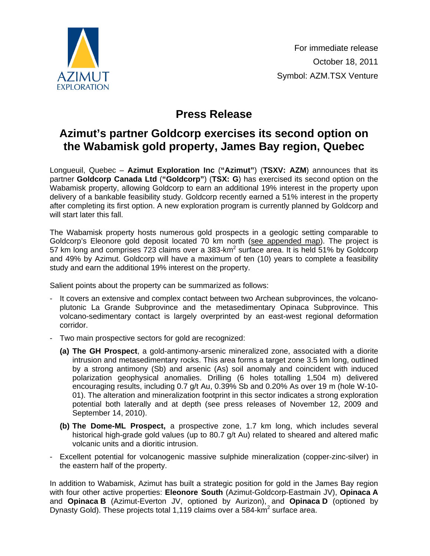

## **Press Release**

## **Azimut's partner Goldcorp exercises its second option on the Wabamisk gold property, James Bay region, Quebec**

Longueuil, Quebec – **Azimut Exploration Inc** (**"Azimut"**) (**TSXV: AZM**) announces that its partner **Goldcorp Canada Ltd** (**"Goldcorp"**) (**TSX: G**) has exercised its second option on the Wabamisk property, allowing Goldcorp to earn an additional 19% interest in the property upon delivery of a bankable feasibility study. Goldcorp recently earned a 51% interest in the property after completing its first option. A new exploration program is currently planned by Goldcorp and will start later this fall.

The Wabamisk property hosts numerous gold prospects in a geologic setting comparable to Goldcorp's Eleonore gold deposit located 70 km north [\(see appended map\).](http://www.azimut-exploration.com/en/presentations/AZM_Wabamisk_fig_2011-10-18.pdf) The project is 57 km long and comprises 723 claims over a 383-km<sup>2</sup> surface area. It is held 51% by Goldcorp and 49% by Azimut. Goldcorp will have a maximum of ten (10) years to complete a feasibility study and earn the additional 19% interest on the property.

Salient points about the property can be summarized as follows:

- It covers an extensive and complex contact between two Archean subprovinces, the volcanoplutonic La Grande Subprovince and the metasedimentary Opinaca Subprovince. This volcano-sedimentary contact is largely overprinted by an east-west regional deformation corridor.
- Two main prospective sectors for gold are recognized:
	- **(a) The GH Prospect**, a gold-antimony-arsenic mineralized zone, associated with a diorite intrusion and metasedimentary rocks. This area forms a target zone 3.5 km long, outlined by a strong antimony (Sb) and arsenic (As) soil anomaly and coincident with induced polarization geophysical anomalies. Drilling (6 holes totalling 1,504 m) delivered encouraging results, including 0.7 g/t Au, 0.39% Sb and 0.20% As over 19 m (hole W-10- 01). The alteration and mineralization footprint in this sector indicates a strong exploration potential both laterally and at depth (see press releases of November 12, 2009 and September 14, 2010).
	- **(b) The Dome-ML Prospect,** a prospective zone, 1.7 km long, which includes several historical high-grade gold values (up to 80.7 g/t Au) related to sheared and altered mafic volcanic units and a dioritic intrusion.
- Excellent potential for volcanogenic massive sulphide mineralization (copper-zinc-silver) in the eastern half of the property.

In addition to Wabamisk, Azimut has built a strategic position for gold in the James Bay region with four other active properties: **Eleonore South** (Azimut-Goldcorp-Eastmain JV), **Opinaca A** and **Opinaca B** (Azimut-Everton JV, optioned by Aurizon), and **Opinaca D** (optioned by Dynasty Gold). These projects total 1,119 claims over a 584-km<sup>2</sup> surface area.